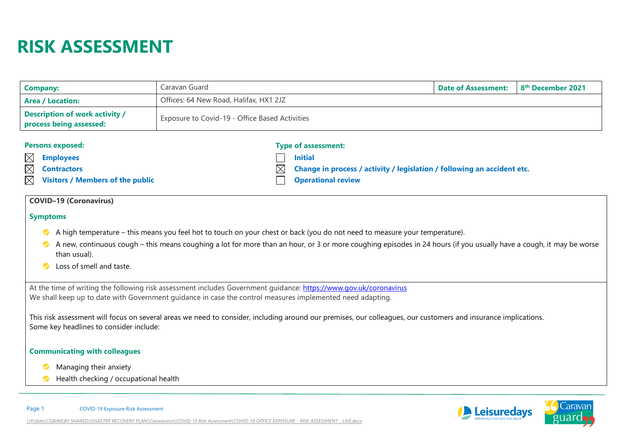# **RISK ASSESSMENT**

| Company:                                                         | Caravan Guard                                  | Date of Assessment: | 8 <sup>th</sup> December 2021 |
|------------------------------------------------------------------|------------------------------------------------|---------------------|-------------------------------|
| <b>Area / Location:</b>                                          | Offices: 64 New Road, Halifax, HX1 2JZ         |                     |                               |
| <b>Description of work activity /</b><br>process being assessed: | Exposure to Covid-19 - Office Based Activities |                     |                               |

| <b>Persons exposed:</b>                                | <b>Type of assessment:</b>                                                          |
|--------------------------------------------------------|-------------------------------------------------------------------------------------|
| $\boxtimes$ Employees                                  | <b>Initial</b>                                                                      |
| $\boxtimes$ Contractors                                | $\boxtimes$ Change in process / activity / legislation / following an accident etc. |
| $\boxtimes$<br><b>Visitors / Members of the public</b> | <b>Operational review</b>                                                           |

# **COVID–19 (Coronavirus)**

#### **Symptoms**

- A high temperature this means you feel hot to touch on your chest or back (you do not need to measure your temperature).
- A new, continuous cough this means coughing a lot for more than an hour, or 3 or more coughing episodes in 24 hours (if you usually have a cough, it may be worse  $\bullet$ than usual).
- Loss of smell and taste.  $\bullet$

At the time of writing the following risk assessment includes Government guidance: <https://www.gov.uk/coronavirus> We shall keep up to date with Government guidance in case the control measures implemented need adapting.

This risk assessment will focus on several areas we need to consider, including around our premises, our colleagues, our customers and insurance implications. Some key headlines to consider include:

#### **Communicating with colleagues**

- Managing their anxiety  $\bullet$
- **Health checking / occupational health**



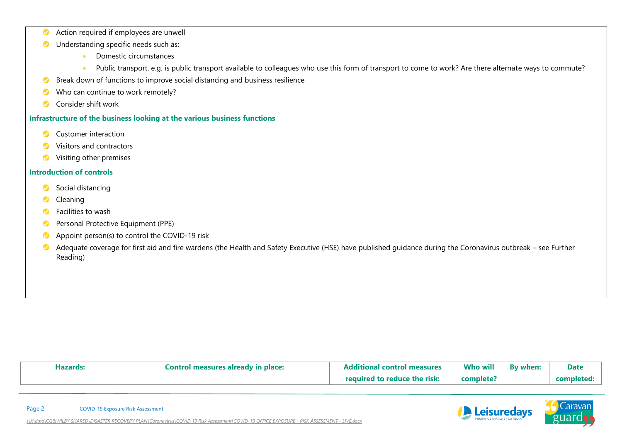- Action required if employees are unwell  $\bullet$
- Understanding specific needs such as:  $\bullet$ 
	- Domestic circumstances
	- Public transport, e.g. is public transport available to colleagues who use this form of transport to come to work? Are there alternate ways to commute?
- Break down of functions to improve social distancing and business resilience  $\bullet$

*[\\X\data\CG&WILBY SHARED\DISASTER RECOVERY PLAN\Coronavirus\COVID 19 Risk Assessment\COVID-19 OFFICE EXPOSURE -](file://///X/data/CG&WILBY%20SHARED/DISASTER%20RECOVERY%20PLAN/Coronavirus/COVID%2019%20Risk%20Assessment/COVID-19%20OFFICE%20EXPOSURE%20-%20RISK%20ASSESSMENT%20-%20LIVE.docx) RISK ASSESSMENT - LIVE.docx*

- Who can continue to work remotely?  $\bullet$
- Consider shift work  $\bullet$

## **Infrastructure of the business looking at the various business functions**

- $\bullet$ Customer interaction
- $\bullet$ Visitors and contractors
- Visiting other premises  $\bullet$

### **Introduction of controls**

- Social distancing  $\bullet$
- Cleaning  $\bullet$
- Facilities to wash  $\bullet$
- Personal Protective Equipment (PPE)  $\bullet$
- Appoint person(s) to control the COVID-19 risk  $\bullet$
- Adequate coverage for first aid and fire wardens (the Health and Safety Executive (HSE) have published guidance during the Coronavirus outbreak see Further  $\bullet$ Reading)

| <b>Hazards</b> | Control measures already in place: | control measures                   | <b>Who will</b> | By when: | <b>Date</b> |
|----------------|------------------------------------|------------------------------------|-----------------|----------|-------------|
|                |                                    | to reduce the risk:  <br>hayılına' | complete?       |          | completed   |

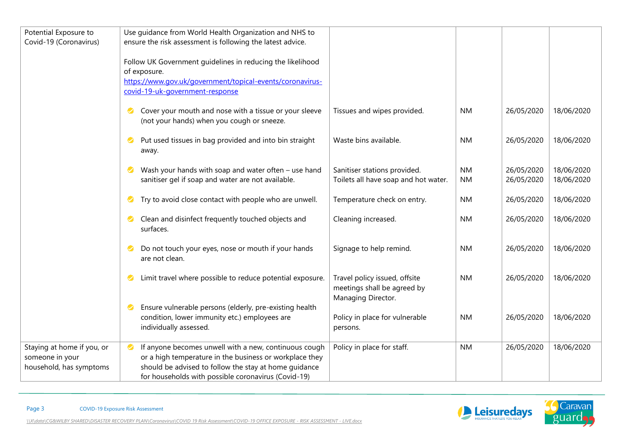| Potential Exposure to      | Use guidance from World Health Organization and NHS to                 |                                      |           |            |            |
|----------------------------|------------------------------------------------------------------------|--------------------------------------|-----------|------------|------------|
| Covid-19 (Coronavirus)     | ensure the risk assessment is following the latest advice.             |                                      |           |            |            |
|                            |                                                                        |                                      |           |            |            |
|                            | Follow UK Government guidelines in reducing the likelihood             |                                      |           |            |            |
|                            | of exposure.                                                           |                                      |           |            |            |
|                            | https://www.gov.uk/government/topical-events/coronavirus-              |                                      |           |            |            |
|                            | covid-19-uk-government-response                                        |                                      |           |            |            |
|                            |                                                                        |                                      |           |            |            |
|                            | Cover your mouth and nose with a tissue or your sleeve<br>$\bullet$    | Tissues and wipes provided.          | <b>NM</b> | 26/05/2020 | 18/06/2020 |
|                            | (not your hands) when you cough or sneeze.                             |                                      |           |            |            |
|                            | Put used tissues in bag provided and into bin straight<br>$\bullet$    | Waste bins available.                | <b>NM</b> | 26/05/2020 | 18/06/2020 |
|                            | away.                                                                  |                                      |           |            |            |
|                            |                                                                        |                                      |           |            |            |
|                            | Wash your hands with soap and water often - use hand                   | Sanitiser stations provided.         | <b>NM</b> | 26/05/2020 | 18/06/2020 |
|                            | sanitiser gel if soap and water are not available.                     | Toilets all have soap and hot water. | <b>NM</b> | 26/05/2020 | 18/06/2020 |
|                            |                                                                        |                                      |           |            |            |
|                            | Try to avoid close contact with people who are unwell.<br>$\bullet$    | Temperature check on entry.          | <b>NM</b> | 26/05/2020 | 18/06/2020 |
|                            |                                                                        |                                      |           |            |            |
|                            | Clean and disinfect frequently touched objects and<br>$\bullet$        | Cleaning increased.                  | <b>NM</b> | 26/05/2020 | 18/06/2020 |
|                            | surfaces.                                                              |                                      |           |            |            |
|                            | Do not touch your eyes, nose or mouth if your hands<br>$\bullet$       | Signage to help remind.              | <b>NM</b> | 26/05/2020 | 18/06/2020 |
|                            | are not clean.                                                         |                                      |           |            |            |
|                            |                                                                        |                                      |           |            |            |
|                            | Limit travel where possible to reduce potential exposure.<br>$\bullet$ | Travel policy issued, offsite        | <b>NM</b> | 26/05/2020 | 18/06/2020 |
|                            |                                                                        | meetings shall be agreed by          |           |            |            |
|                            |                                                                        | Managing Director.                   |           |            |            |
|                            | Ensure vulnerable persons (elderly, pre-existing health<br>$\bullet$   |                                      |           |            |            |
|                            | condition, lower immunity etc.) employees are                          | Policy in place for vulnerable       | <b>NM</b> | 26/05/2020 | 18/06/2020 |
|                            | individually assessed.                                                 | persons.                             |           |            |            |
|                            |                                                                        |                                      |           |            |            |
| Staying at home if you, or | If anyone becomes unwell with a new, continuous cough<br>$\bullet$     | Policy in place for staff.           | <b>NM</b> | 26/05/2020 | 18/06/2020 |
| someone in your            | or a high temperature in the business or workplace they                |                                      |           |            |            |
| household, has symptoms    | should be advised to follow the stay at home guidance                  |                                      |           |            |            |
|                            | for households with possible coronavirus (Covid-19)                    |                                      |           |            |            |

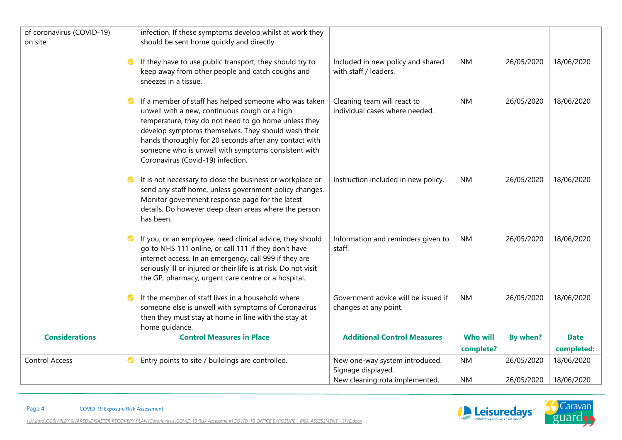| of coronavirus (COVID-19)<br>on site | infection. If these symptoms develop whilst at work they<br>should be sent home quickly and directly.                                                                                                                                                                                                                                                                                    |                                                               |                              |            |                           |
|--------------------------------------|------------------------------------------------------------------------------------------------------------------------------------------------------------------------------------------------------------------------------------------------------------------------------------------------------------------------------------------------------------------------------------------|---------------------------------------------------------------|------------------------------|------------|---------------------------|
|                                      | If they have to use public transport, they should try to<br>$\bullet$<br>keep away from other people and catch coughs and<br>sneezes in a tissue.                                                                                                                                                                                                                                        | Included in new policy and shared<br>with staff / leaders.    | <b>NM</b>                    | 26/05/2020 | 18/06/2020                |
|                                      | If a member of staff has helped someone who was taken<br>$\bullet$<br>unwell with a new, continuous cough or a high<br>temperature, they do not need to go home unless they<br>develop symptoms themselves. They should wash their<br>hands thoroughly for 20 seconds after any contact with<br>someone who is unwell with symptoms consistent with<br>Coronavirus (Covid-19) infection. | Cleaning team will react to<br>individual cases where needed. | <b>NM</b>                    | 26/05/2020 | 18/06/2020                |
|                                      | It is not necessary to close the business or workplace or<br>$\blacktriangledown$<br>send any staff home, unless government policy changes.<br>Monitor government response page for the latest<br>details. Do however deep clean areas where the person<br>has been.                                                                                                                     | Instruction included in new policy.                           | <b>NM</b>                    | 26/05/2020 | 18/06/2020                |
|                                      | If you, or an employee, need clinical advice, they should<br>$\bullet$<br>go to NHS 111 online, or call 111 if they don't have<br>internet access. In an emergency, call 999 if they are<br>seriously ill or injured or their life is at risk. Do not visit<br>the GP, pharmacy, urgent care centre or a hospital.                                                                       | Information and reminders given to<br>staff.                  | <b>NM</b>                    | 26/05/2020 | 18/06/2020                |
|                                      | If the member of staff lives in a household where<br>$\bullet$<br>someone else is unwell with symptoms of Coronavirus<br>then they must stay at home in line with the stay at<br>home guidance.                                                                                                                                                                                          | Government advice will be issued if<br>changes at any point.  | <b>NM</b>                    | 26/05/2020 | 18/06/2020                |
| <b>Considerations</b>                | <b>Control Measures in Place</b>                                                                                                                                                                                                                                                                                                                                                         | <b>Additional Control Measures</b>                            | <b>Who will</b><br>complete? | By when?   | <b>Date</b><br>completed: |
| <b>Control Access</b>                | Entry points to site / buildings are controlled.<br>Ø                                                                                                                                                                                                                                                                                                                                    | New one-way system introduced.<br>Signage displayed.          | <b>NM</b>                    | 26/05/2020 | 18/06/2020                |
|                                      |                                                                                                                                                                                                                                                                                                                                                                                          | New cleaning rota implemented.                                | <b>NM</b>                    | 26/05/2020 | 18/06/2020                |

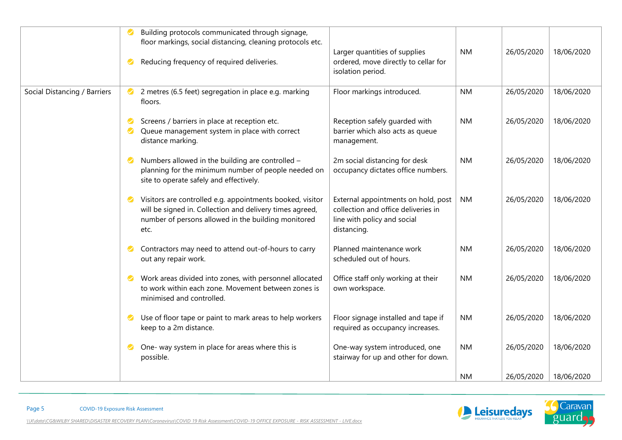|                              | Building protocols communicated through signage,<br>floor markings, social distancing, cleaning protocols etc.<br>Larger quantities of supplies<br>ordered, move directly to cellar for<br>Reducing frequency of required deliveries.<br>isolation period.                                                       | <b>NM</b> | 18/06/2020<br>26/05/2020 |  |
|------------------------------|------------------------------------------------------------------------------------------------------------------------------------------------------------------------------------------------------------------------------------------------------------------------------------------------------------------|-----------|--------------------------|--|
| Social Distancing / Barriers | 2 metres (6.5 feet) segregation in place e.g. marking<br>Floor markings introduced.<br>$\bullet$<br>floors.                                                                                                                                                                                                      | <b>NM</b> | 26/05/2020<br>18/06/2020 |  |
|                              | Screens / barriers in place at reception etc.<br>Reception safely guarded with<br>$\bullet$<br>Queue management system in place with correct<br>barrier which also acts as queue<br>$\bullet$<br>distance marking.<br>management.                                                                                | <b>NM</b> | 18/06/2020<br>26/05/2020 |  |
|                              | Numbers allowed in the building are controlled -<br>2m social distancing for desk<br>$\bullet$<br>planning for the minimum number of people needed on<br>occupancy dictates office numbers.<br>site to operate safely and effectively.                                                                           | <b>NM</b> | 26/05/2020<br>18/06/2020 |  |
|                              | Visitors are controlled e.g. appointments booked, visitor<br>External appointments on hold, post<br>will be signed in. Collection and delivery times agreed,<br>collection and office deliveries in<br>number of persons allowed in the building monitored<br>line with policy and social<br>distancing.<br>etc. | <b>NM</b> | 18/06/2020<br>26/05/2020 |  |
|                              | Planned maintenance work<br>Contractors may need to attend out-of-hours to carry<br>$\bullet$<br>out any repair work.<br>scheduled out of hours.                                                                                                                                                                 | <b>NM</b> | 18/06/2020<br>26/05/2020 |  |
|                              | Work areas divided into zones, with personnel allocated<br>Office staff only working at their<br>$\bullet$<br>to work within each zone. Movement between zones is<br>own workspace.<br>minimised and controlled.                                                                                                 | <b>NM</b> | 18/06/2020<br>26/05/2020 |  |
|                              | Floor signage installed and tape if<br>Use of floor tape or paint to mark areas to help workers<br>$\bullet$<br>keep to a 2m distance.<br>required as occupancy increases.                                                                                                                                       | <b>NM</b> | 18/06/2020<br>26/05/2020 |  |
|                              | One- way system in place for areas where this is<br>One-way system introduced, one<br>$\bullet$<br>stairway for up and other for down.<br>possible.                                                                                                                                                              | <b>NM</b> | 18/06/2020<br>26/05/2020 |  |
|                              |                                                                                                                                                                                                                                                                                                                  | <b>NM</b> | 18/06/2020<br>26/05/2020 |  |

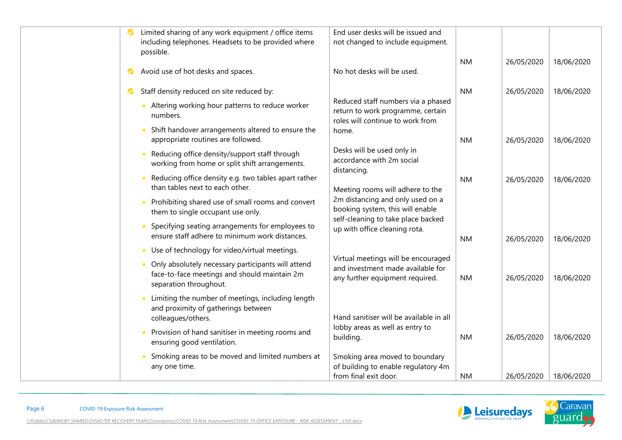|   | Limited sharing of any work equipment / office items                                    | End user desks will be issued and                            |           |            |            |
|---|-----------------------------------------------------------------------------------------|--------------------------------------------------------------|-----------|------------|------------|
|   | including telephones. Headsets to be provided where                                     | not changed to include equipment.                            |           |            |            |
|   | possible.                                                                               |                                                              |           |            |            |
|   |                                                                                         |                                                              | <b>NM</b> | 26/05/2020 | 18/06/2020 |
| Ø | Avoid use of hot desks and spaces.                                                      | No hot desks will be used.                                   |           |            |            |
| Ø | Staff density reduced on site reduced by:                                               |                                                              | <b>NM</b> | 26/05/2020 | 18/06/2020 |
|   | Altering working hour patterns to reduce worker                                         | Reduced staff numbers via a phased                           |           |            |            |
|   | numbers.                                                                                | return to work programme, certain                            |           |            |            |
|   |                                                                                         | roles will continue to work from                             |           |            |            |
|   | Shift handover arrangements altered to ensure the<br>appropriate routines are followed. | home.                                                        | <b>NM</b> | 26/05/2020 | 18/06/2020 |
|   |                                                                                         | Desks will be used only in                                   |           |            |            |
|   | Reducing office density/support staff through                                           | accordance with 2m social                                    |           |            |            |
|   | working from home or split shift arrangements.                                          | distancing.                                                  |           |            |            |
|   | Reducing office density e.g. two tables apart rather<br>$\bullet$                       |                                                              | <b>NM</b> | 26/05/2020 | 18/06/2020 |
|   | than tables next to each other.                                                         | Meeting rooms will adhere to the                             |           |            |            |
|   | Prohibiting shared use of small rooms and convert<br>$\bullet$                          | 2m distancing and only used on a                             |           |            |            |
|   | them to single occupant use only.                                                       | booking system, this will enable                             |           |            |            |
|   | Specifying seating arrangements for employees to                                        | self-cleaning to take place backed                           |           |            |            |
|   | ensure staff adhere to minimum work distances.                                          | up with office cleaning rota.                                | <b>NM</b> | 26/05/2020 | 18/06/2020 |
|   | Use of technology for video/virtual meetings.<br>$\bullet$                              |                                                              |           |            |            |
|   | Only absolutely necessary participants will attend<br>$\bullet$                         | Virtual meetings will be encouraged                          |           |            |            |
|   | face-to-face meetings and should maintain 2m                                            | and investment made available for                            |           |            |            |
|   | separation throughout.                                                                  | any further equipment required.                              | <b>NM</b> | 26/05/2020 | 18/06/2020 |
|   | Limiting the number of meetings, including length                                       |                                                              |           |            |            |
|   | and proximity of gatherings between                                                     |                                                              |           |            |            |
|   | colleagues/others.                                                                      | Hand sanitiser will be available in all                      |           |            |            |
|   | Provision of hand sanitiser in meeting rooms and<br>$\bullet$                           | lobby areas as well as entry to                              |           |            |            |
|   | ensuring good ventilation.                                                              | building.                                                    | <b>NM</b> | 26/05/2020 | 18/06/2020 |
|   |                                                                                         |                                                              |           |            |            |
|   | Smoking areas to be moved and limited numbers at<br>$\bullet$                           | Smoking area moved to boundary                               |           |            |            |
|   | any one time.                                                                           | of building to enable regulatory 4m<br>from final exit door. | <b>NM</b> | 26/05/2020 | 18/06/2020 |
|   |                                                                                         |                                                              |           |            |            |

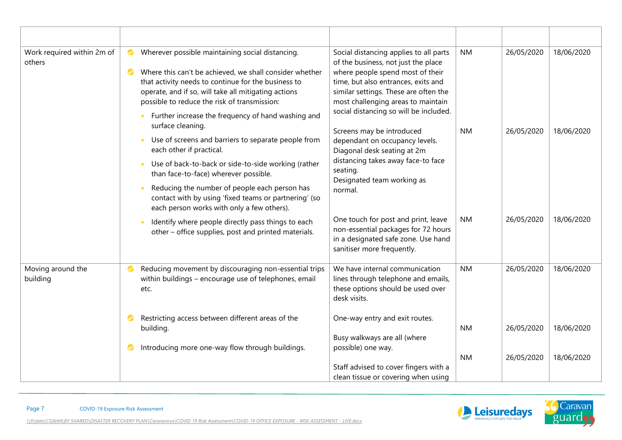| Work required within 2m of<br>others | Wherever possible maintaining social distancing.<br>$\bullet$<br>Where this can't be achieved, we shall consider whether<br>$\bullet$<br>that activity needs to continue for the business to<br>operate, and if so, will take all mitigating actions<br>possible to reduce the risk of transmission:<br>Further increase the frequency of hand washing and   | Social distancing applies to all parts<br>of the business, not just the place<br>where people spend most of their<br>time, but also entrances, exits and<br>similar settings. These are often the<br>most challenging areas to maintain<br>social distancing so will be included.<br>Screens may be introduced<br>dependant on occupancy levels.<br>Diagonal desk seating at 2m<br>distancing takes away face-to face<br>seating.<br>Designated team working as<br>normal. | <b>NM</b> | 26/05/2020 | 18/06/2020 |
|--------------------------------------|--------------------------------------------------------------------------------------------------------------------------------------------------------------------------------------------------------------------------------------------------------------------------------------------------------------------------------------------------------------|----------------------------------------------------------------------------------------------------------------------------------------------------------------------------------------------------------------------------------------------------------------------------------------------------------------------------------------------------------------------------------------------------------------------------------------------------------------------------|-----------|------------|------------|
|                                      | surface cleaning.<br>Use of screens and barriers to separate people from<br>each other if practical.<br>Use of back-to-back or side-to-side working (rather<br>than face-to-face) wherever possible.<br>Reducing the number of people each person has<br>contact with by using 'fixed teams or partnering' (so<br>each person works with only a few others). |                                                                                                                                                                                                                                                                                                                                                                                                                                                                            | <b>NM</b> | 26/05/2020 | 18/06/2020 |
|                                      | Identify where people directly pass things to each<br>other - office supplies, post and printed materials.                                                                                                                                                                                                                                                   | One touch for post and print, leave<br>non-essential packages for 72 hours<br>in a designated safe zone. Use hand<br>sanitiser more frequently.                                                                                                                                                                                                                                                                                                                            | <b>NM</b> | 26/05/2020 | 18/06/2020 |
| Moving around the<br>building        | Reducing movement by discouraging non-essential trips<br>$\bullet$<br>within buildings - encourage use of telephones, email<br>etc.                                                                                                                                                                                                                          | We have internal communication<br>lines through telephone and emails,<br>these options should be used over<br>desk visits.                                                                                                                                                                                                                                                                                                                                                 | <b>NM</b> | 26/05/2020 | 18/06/2020 |
|                                      | Restricting access between different areas of the<br>$\bullet$<br>building.                                                                                                                                                                                                                                                                                  | One-way entry and exit routes.<br>Busy walkways are all (where<br>possible) one way.                                                                                                                                                                                                                                                                                                                                                                                       | <b>NM</b> | 26/05/2020 | 18/06/2020 |
|                                      | Introducing more one-way flow through buildings.<br>Ø                                                                                                                                                                                                                                                                                                        | Staff advised to cover fingers with a<br>clean tissue or covering when using                                                                                                                                                                                                                                                                                                                                                                                               | <b>NM</b> | 26/05/2020 | 18/06/2020 |

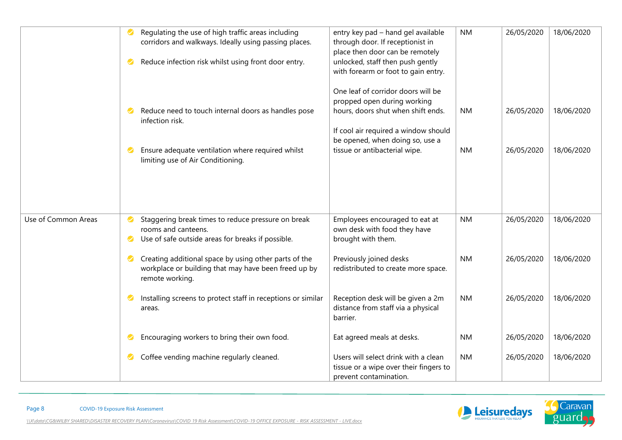|                     | Regulating the use of high traffic areas including<br>corridors and walkways. Ideally using passing places.                                   | entry key pad - hand gel available<br>through door. If receptionist in<br>place then door can be remotely | <b>NM</b> | 26/05/2020 | 18/06/2020 |
|---------------------|-----------------------------------------------------------------------------------------------------------------------------------------------|-----------------------------------------------------------------------------------------------------------|-----------|------------|------------|
|                     | Reduce infection risk whilst using front door entry.<br>V                                                                                     | unlocked, staff then push gently<br>with forearm or foot to gain entry.                                   |           |            |            |
|                     | Reduce need to touch internal doors as handles pose                                                                                           | One leaf of corridor doors will be<br>propped open during working<br>hours, doors shut when shift ends.   | <b>NM</b> | 26/05/2020 | 18/06/2020 |
|                     | infection risk.                                                                                                                               | If cool air required a window should<br>be opened, when doing so, use a                                   |           |            |            |
|                     | Ensure adequate ventilation where required whilst<br>$\checkmark$<br>limiting use of Air Conditioning.                                        | tissue or antibacterial wipe.                                                                             | <b>NM</b> | 26/05/2020 | 18/06/2020 |
|                     |                                                                                                                                               |                                                                                                           |           |            |            |
| Use of Common Areas | Staggering break times to reduce pressure on break<br>Ø                                                                                       | Employees encouraged to eat at                                                                            | <b>NM</b> | 26/05/2020 | 18/06/2020 |
|                     | rooms and canteens.<br>Use of safe outside areas for breaks if possible.<br>$\bullet$                                                         | own desk with food they have<br>brought with them.                                                        |           |            |            |
|                     | Creating additional space by using other parts of the<br>$\bullet$<br>workplace or building that may have been freed up by<br>remote working. | Previously joined desks<br>redistributed to create more space.                                            | <b>NM</b> | 26/05/2020 | 18/06/2020 |
|                     | Installing screens to protect staff in receptions or similar<br>Ø<br>areas.                                                                   | Reception desk will be given a 2m<br>distance from staff via a physical<br>barrier.                       | <b>NM</b> | 26/05/2020 | 18/06/2020 |
|                     | Encouraging workers to bring their own food.                                                                                                  | Eat agreed meals at desks.                                                                                | <b>NM</b> | 26/05/2020 | 18/06/2020 |
|                     | Coffee vending machine regularly cleaned.                                                                                                     | Users will select drink with a clean<br>tissue or a wipe over their fingers to<br>prevent contamination.  | <b>NM</b> | 26/05/2020 | 18/06/2020 |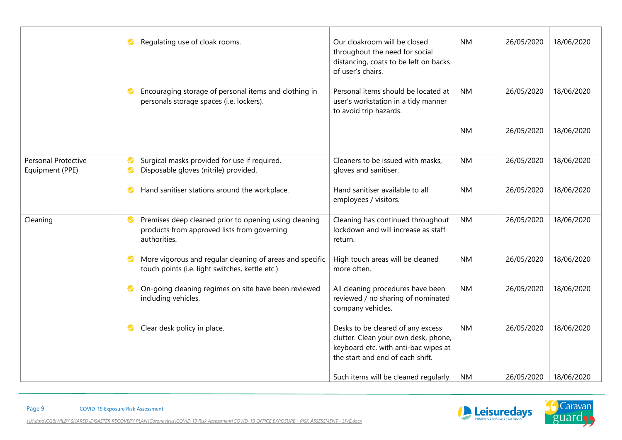|                                        | Regulating use of cloak rooms.<br>$\bullet$                                                                                       | Our cloakroom will be closed<br>throughout the need for social<br>distancing, coats to be left on backs<br>of user's chairs.                          | <b>NM</b> | 26/05/2020 | 18/06/2020 |
|----------------------------------------|-----------------------------------------------------------------------------------------------------------------------------------|-------------------------------------------------------------------------------------------------------------------------------------------------------|-----------|------------|------------|
|                                        | Encouraging storage of personal items and clothing in<br>$\bullet$<br>personals storage spaces (i.e. lockers).                    | Personal items should be located at<br>user's workstation in a tidy manner<br>to avoid trip hazards.                                                  | <b>NM</b> | 26/05/2020 | 18/06/2020 |
|                                        |                                                                                                                                   |                                                                                                                                                       | <b>NM</b> | 26/05/2020 | 18/06/2020 |
| Personal Protective<br>Equipment (PPE) | Surgical masks provided for use if required.<br>$\bullet$<br>Disposable gloves (nitrile) provided.<br>$\bullet$                   | Cleaners to be issued with masks,<br>gloves and sanitiser.                                                                                            | <b>NM</b> | 26/05/2020 | 18/06/2020 |
|                                        | Hand sanitiser stations around the workplace.<br>$\bullet$                                                                        | Hand sanitiser available to all<br>employees / visitors.                                                                                              | <b>NM</b> | 26/05/2020 | 18/06/2020 |
| Cleaning                               | Premises deep cleaned prior to opening using cleaning<br>$\bullet$<br>products from approved lists from governing<br>authorities. | Cleaning has continued throughout<br>lockdown and will increase as staff<br>return.                                                                   | <b>NM</b> | 26/05/2020 | 18/06/2020 |
|                                        | More vigorous and regular cleaning of areas and specific<br>$\bullet$<br>touch points (i.e. light switches, kettle etc.)          | High touch areas will be cleaned<br>more often.                                                                                                       | <b>NM</b> | 26/05/2020 | 18/06/2020 |
|                                        | On-going cleaning regimes on site have been reviewed<br>$\bullet$<br>including vehicles.                                          | All cleaning procedures have been<br>reviewed / no sharing of nominated<br>company vehicles.                                                          | <b>NM</b> | 26/05/2020 | 18/06/2020 |
|                                        | Clear desk policy in place.<br>$\bullet$                                                                                          | Desks to be cleared of any excess<br>clutter. Clean your own desk, phone,<br>keyboard etc. with anti-bac wipes at<br>the start and end of each shift. | <b>NM</b> | 26/05/2020 | 18/06/2020 |
|                                        |                                                                                                                                   | Such items will be cleaned regularly.                                                                                                                 | <b>NM</b> | 26/05/2020 | 18/06/2020 |

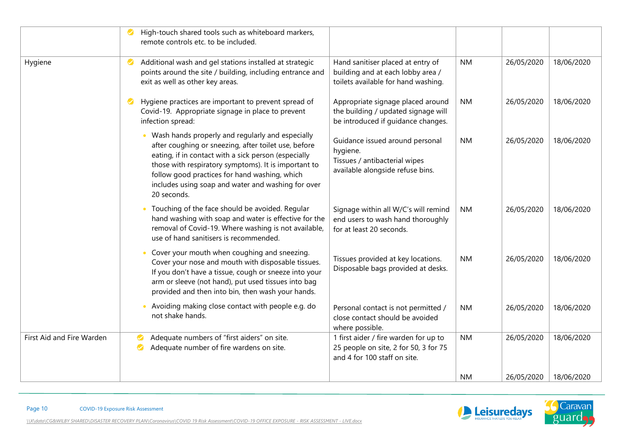|                           | High-touch shared tools such as whiteboard markers,<br>remote controls etc. to be included.                                                                                                                                                                                                                                                    |                                                                                                                  |           |            |            |
|---------------------------|------------------------------------------------------------------------------------------------------------------------------------------------------------------------------------------------------------------------------------------------------------------------------------------------------------------------------------------------|------------------------------------------------------------------------------------------------------------------|-----------|------------|------------|
| Hygiene                   | Additional wash and gel stations installed at strategic<br>$\bullet$<br>points around the site / building, including entrance and<br>exit as well as other key areas.                                                                                                                                                                          | Hand sanitiser placed at entry of<br>building and at each lobby area /<br>toilets available for hand washing.    | <b>NM</b> | 26/05/2020 | 18/06/2020 |
|                           | Hygiene practices are important to prevent spread of<br>$\bullet$<br>Covid-19. Appropriate signage in place to prevent<br>infection spread:                                                                                                                                                                                                    | Appropriate signage placed around<br>the building / updated signage will<br>be introduced if guidance changes.   | <b>NM</b> | 26/05/2020 | 18/06/2020 |
|                           | Wash hands properly and regularly and especially<br>after coughing or sneezing, after toilet use, before<br>eating, if in contact with a sick person (especially<br>those with respiratory symptoms). It is important to<br>follow good practices for hand washing, which<br>includes using soap and water and washing for over<br>20 seconds. | Guidance issued around personal<br>hygiene.<br>Tissues / antibacterial wipes<br>available alongside refuse bins. | <b>NM</b> | 26/05/2020 | 18/06/2020 |
|                           | Touching of the face should be avoided. Regular<br>hand washing with soap and water is effective for the<br>removal of Covid-19. Where washing is not available,<br>use of hand sanitisers is recommended.                                                                                                                                     | Signage within all W/C's will remind<br>end users to wash hand thoroughly<br>for at least 20 seconds.            | <b>NM</b> | 26/05/2020 | 18/06/2020 |
|                           | Cover your mouth when coughing and sneezing.<br>Cover your nose and mouth with disposable tissues.<br>If you don't have a tissue, cough or sneeze into your<br>arm or sleeve (not hand), put used tissues into bag<br>provided and then into bin, then wash your hands.                                                                        | Tissues provided at key locations.<br>Disposable bags provided at desks.                                         | <b>NM</b> | 26/05/2020 | 18/06/2020 |
|                           | Avoiding making close contact with people e.g. do<br>not shake hands.                                                                                                                                                                                                                                                                          | Personal contact is not permitted /<br>close contact should be avoided<br>where possible.                        | <b>NM</b> | 26/05/2020 | 18/06/2020 |
| First Aid and Fire Warden | Adequate numbers of "first aiders" on site.<br>Adequate number of fire wardens on site.<br>Ø                                                                                                                                                                                                                                                   | 1 first aider / fire warden for up to<br>25 people on site, 2 for 50, 3 for 75<br>and 4 for 100 staff on site.   | <b>NM</b> | 26/05/2020 | 18/06/2020 |
|                           |                                                                                                                                                                                                                                                                                                                                                |                                                                                                                  | <b>NM</b> | 26/05/2020 | 18/06/2020 |

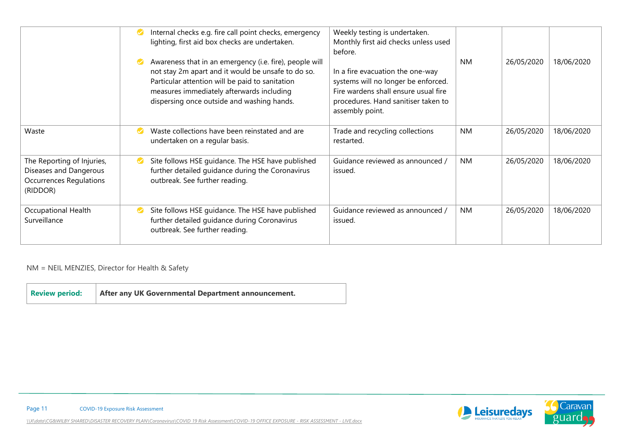|                                                                                                    | Internal checks e.g. fire call point checks, emergency<br>Ø<br>lighting, first aid box checks are undertaken.                                                                                                                                                    | Weekly testing is undertaken.<br>Monthly first aid checks unless used<br>before.                                                                                          |           |            |            |
|----------------------------------------------------------------------------------------------------|------------------------------------------------------------------------------------------------------------------------------------------------------------------------------------------------------------------------------------------------------------------|---------------------------------------------------------------------------------------------------------------------------------------------------------------------------|-----------|------------|------------|
|                                                                                                    | Awareness that in an emergency (i.e. fire), people will<br>Ø<br>not stay 2m apart and it would be unsafe to do so.<br>Particular attention will be paid to sanitation<br>measures immediately afterwards including<br>dispersing once outside and washing hands. | In a fire evacuation the one-way<br>systems will no longer be enforced.<br>Fire wardens shall ensure usual fire<br>procedures. Hand sanitiser taken to<br>assembly point. | <b>NM</b> | 26/05/2020 | 18/06/2020 |
| Waste                                                                                              | Waste collections have been reinstated and are<br>Ø<br>undertaken on a regular basis.                                                                                                                                                                            | Trade and recycling collections<br>restarted.                                                                                                                             | <b>NM</b> | 26/05/2020 | 18/06/2020 |
| The Reporting of Injuries,<br>Diseases and Dangerous<br><b>Occurrences Regulations</b><br>(RIDDOR) | Site follows HSE guidance. The HSE have published<br>Ø<br>further detailed guidance during the Coronavirus<br>outbreak. See further reading.                                                                                                                     | Guidance reviewed as announced /<br>issued.                                                                                                                               | NM.       | 26/05/2020 | 18/06/2020 |
| Occupational Health<br>Surveillance                                                                | Site follows HSE guidance. The HSE have published<br>Ø<br>further detailed guidance during Coronavirus<br>outbreak. See further reading.                                                                                                                         | Guidance reviewed as announced /<br>issued.                                                                                                                               | NM.       | 26/05/2020 | 18/06/2020 |

NM = NEIL MENZIES, Director for Health & Safety

| <b>Review period:</b> | After any UK Governmental Department announcement. |
|-----------------------|----------------------------------------------------|
|-----------------------|----------------------------------------------------|